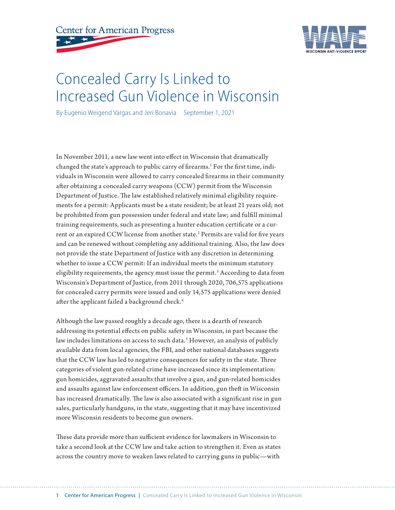



# Concealed Carry Is Linked to Increased Gun Violence in Wisconsin

By Eugenio Weigend Vargas and Jeri Bonavia September 1, 2021

In November 2011, a new law went into effect in Wisconsin that dramatically changed the state's approach to public carry of firearms.<sup>1</sup> For the first time, individuals in Wisconsin were allowed to carry concealed firearms in their community after obtaining a concealed carry weapons (CCW) permit from the Wisconsin Department of Justice. The law established relatively minimal eligibility requirements for a permit: Applicants must be a state resident; be at least 21 years old; not be prohibited from gun possession under federal and state law; and fulfill minimal training requirements, such as presenting a hunter education certificate or a current or an expired CCW license from another state.<sup>2</sup> Permits are valid for five years and can be renewed without completing any additional training. Also, the law does not provide the state Department of Justice with any discretion in determining whether to issue a CCW permit: If an individual meets the minimum statutory eligibility requirements, the agency must issue the permit.<sup>3</sup> According to data from Wisconsin's Department of Justice, from 2011 through 2020, 706,575 applications for concealed carry permits were issued and only 14,575 applications were denied after the applicant failed a background check.<sup>4</sup>

Although the law passed roughly a decade ago, there is a dearth of research addressing its potential effects on public safety in Wisconsin, in part because the law includes limitations on access to such data.<sup>5</sup> However, an analysis of publicly available data from local agencies, the FBI, and other national databases suggests that the CCW law has led to negative consequences for safety in the state. Three categories of violent gun-related crime have increased since its implementation: gun homicides, aggravated assaults that involve a gun, and gun-related homicides and assaults against law enforcement officers. In addition, gun theft in Wisconsin has increased dramatically. The law is also associated with a significant rise in gun sales, particularly handguns, in the state, suggesting that it may have incentivized more Wisconsin residents to become gun owners.

These data provide more than sufficient evidence for lawmakers in Wisconsin to take a second look at the CCW law and take action to strengthen it. Even as states across the country move to weaken laws related to carrying guns in public—with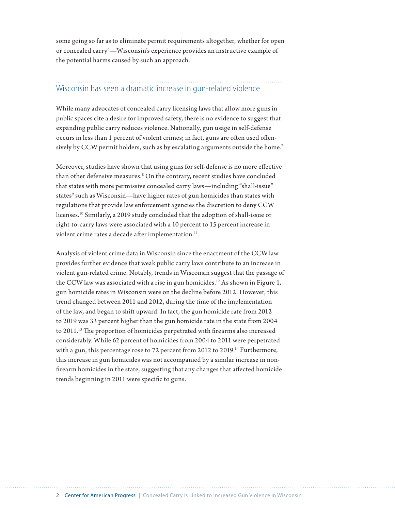some going so far as to eliminate permit requirements altogether, whether for open or concealed carry<sup>6</sup>—Wisconsin's experience provides an instructive example of the potential harms caused by such an approach.

## Wisconsin has seen a dramatic increase in gun-related violence

While many advocates of concealed carry licensing laws that allow more guns in public spaces cite a desire for improved safety, there is no evidence to suggest that expanding public carry reduces violence. Nationally, gun usage in self-defense occurs in less than 1 percent of violent crimes; in fact, guns are often used offensively by CCW permit holders, such as by escalating arguments outside the home.<sup>7</sup>

Moreover, studies have shown that using guns for self-defense is no more effective than other defensive measures.8 On the contrary, recent studies have concluded that states with more permissive concealed carry laws—including "shall-issue" states $^{\circ}$  such as Wisconsin—have higher rates of gun homicides than states with regulations that provide law enforcement agencies the discretion to deny CCW licenses.10 Similarly, a 2019 study concluded that the adoption of shall-issue or right-to-carry laws were associated with a 10 percent to 15 percent increase in violent crime rates a decade after implementation.<sup>11</sup>

Analysis of violent crime data in Wisconsin since the enactment of the CCW law provides further evidence that weak public carry laws contribute to an increase in violent gun-related crime. Notably, trends in Wisconsin suggest that the passage of the CCW law was associated with a rise in gun homicides.<sup>12</sup> As shown in Figure 1, gun homicide rates in Wisconsin were on the decline before 2012. However, this trend changed between 2011 and 2012, during the time of the implementation of the law, and began to shift upward. In fact, the gun homicide rate from 2012 to 2019 was 33 percent higher than the gun homicide rate in the state from 2004 to 2011.13 The proportion of homicides perpetrated with firearms also increased considerably. While 62 percent of homicides from 2004 to 2011 were perpetrated with a gun, this percentage rose to 72 percent from 2012 to 2019.<sup>14</sup> Furthermore, this increase in gun homicides was not accompanied by a similar increase in nonfirearm homicides in the state, suggesting that any changes that affected homicide trends beginning in 2011 were specific to guns.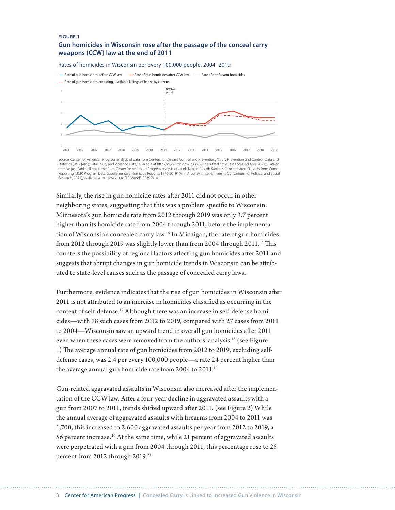#### **FIGURE 1 Gun homicides in Wisconsin rose after the passage of the conceal carry weapons (CCW) law at the end of 2011**

#### Rates of homicides in Wisconsin per every 100,000 people, 2004–2019



Source: Center for American Progress analysis of data from Centers for Disease Control and Prevention, "Injury Prevention and Control: Data and Statistics (WISQARS): Fatal Injury and Violence Data," available at http://www.cdc.gov/injury/wisqars/fatal.html (last accessed April 2021). Data to<br>remove justifiable killings came from Center for American Progress analys Reporting (UCR) Program Data: Supplementary Homicide Reports, 1976-2019" (Ann Arbor, MI: Inter-University Consortium for Political and Social Research, 2021), available at https://doi.org/10.3886/E100699V10.

Similarly, the rise in gun homicide rates after 2011 did not occur in other neighboring states, suggesting that this was a problem specific to Wisconsin. Minnesota's gun homicide rate from 2012 through 2019 was only 3.7 percent higher than its homicide rate from 2004 through 2011, before the implementation of Wisconsin's concealed carry law.15 In Michigan, the rate of gun homicides from 2012 through 2019 was slightly lower than from 2004 through 2011.16 This counters the possibility of regional factors affecting gun homicides after 2011 and suggests that abrupt changes in gun homicide trends in Wisconsin can be attributed to state-level causes such as the passage of concealed carry laws.

Furthermore, evidence indicates that the rise of gun homicides in Wisconsin after 2011 is not attributed to an increase in homicides classified as occurring in the context of self-defense.<sup>17</sup> Although there was an increase in self-defense homicides—with 78 such cases from 2012 to 2019, compared with 27 cases from 2011 to 2004—Wisconsin saw an upward trend in overall gun homicides after 2011 even when these cases were removed from the authors' analysis.<sup>18</sup> (see Figure 1) The average annual rate of gun homicides from 2012 to 2019, excluding selfdefense cases, was 2.4 per every 100,000 people—a rate 24 percent higher than the average annual gun homicide rate from 2004 to 2011.<sup>19</sup>

Gun-related aggravated assaults in Wisconsin also increased after the implementation of the CCW law. After a four-year decline in aggravated assaults with a gun from 2007 to 2011, trends shifted upward after 2011. (see Figure 2) While the annual average of aggravated assaults with firearms from 2004 to 2011 was 1,700, this increased to 2,600 aggravated assaults per year from 2012 to 2019, a 56 percent increase.20 At the same time, while 21 percent of aggravated assaults were perpetrated with a gun from 2004 through 2011, this percentage rose to 25 percent from 2012 through 2019.<sup>21</sup>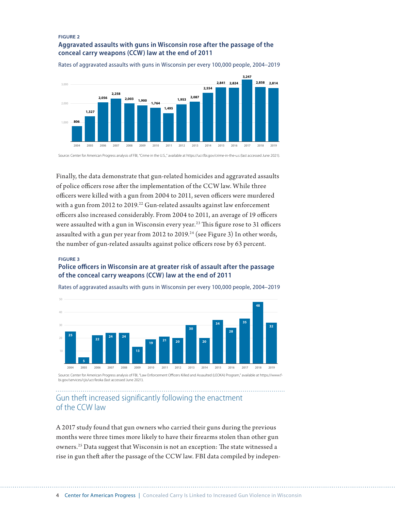#### **FIGURE 2 Aggravated assaults with guns in Wisconsin rose after the passage of the conceal carry weapons (CCW) law at the end of 2011**



Rates of aggravated assaults with guns in Wisconsin per every 100,000 people, 2004–2019

Source: Center for American Progress analysis of FBI, "Crime in the U.S.," available at https://ucr.fbi.gov/crime-in-the-u.s (last accessed June 2021).

Finally, the data demonstrate that gun-related homicides and aggravated assaults of police officers rose after the implementation of the CCW law. While three officers were killed with a gun from 2004 to 2011, seven officers were murdered with a gun from 2012 to 2019.<sup>22</sup> Gun-related assaults against law enforcement officers also increased considerably. From 2004 to 2011, an average of 19 officers were assaulted with a gun in Wisconsin every year.<sup>23</sup> This figure rose to 31 officers assaulted with a gun per year from 2012 to 2019.<sup>24</sup> (see Figure 3) In other words, the number of gun-related assaults against police officers rose by 63 percent.

### **FIGURE 3 Police officers in Wisconsin are at greater risk of assault after the passage of the conceal carry weapons (CCW) law at the end of 2011**



Rates of aggravated assaults with guns in Wisconsin per every 100,000 people, 2004–2019

Gun theft increased significantly following the enactment of the CCW law

A 2017 study found that gun owners who carried their guns during the previous months were three times more likely to have their firearms stolen than other gun owners.25 Data suggest that Wisconsin is not an exception: The state witnessed a rise in gun theft after the passage of the CCW law. FBI data compiled by indepen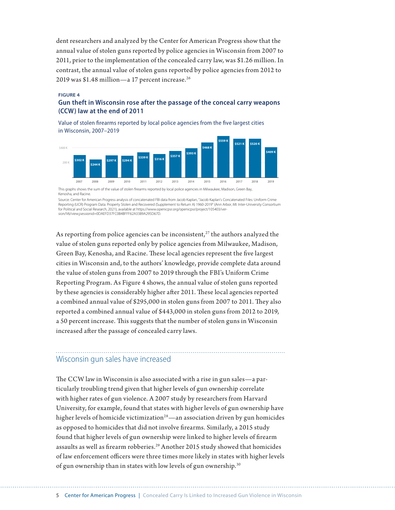dent researchers and analyzed by the Center for American Progress show that the annual value of stolen guns reported by police agencies in Wisconsin from 2007 to 2011, prior to the implementation of the concealed carry law, was \$1.26 million. In contrast, the annual value of stolen guns reported by police agencies from 2012 to 2019 was \$1.48 million—a 17 percent increase.<sup>26</sup>

#### **FIGURE 4**

### **Gun theft in Wisconsin rose after the passage of the conceal carry weapons (CCW) law at the end of 2011**

Value of stolen firearms reported by local police agencies from the five largest cities in Wisconsin, 2007–2019



Kenosha, and Racine.

Source: Center for American Progress analysis of concatenated FBI data from Jacob Kaplan, "Jacob Kaplan's Concatenated Files: Uniform Crime<br>Reporting (UCR) Program Data: Property Stolen and Recovered (Supplement to Return for Political and Social Research, 2021), available at https://www.openicpsr.org/openicpsr/project/105403/version/V6/view;jsessionid=0DAEFD37FC0B4BFFF62A3389A295D67D.

As reporting from police agencies can be inconsistent, $27$  the authors analyzed the value of stolen guns reported only by police agencies from Milwaukee, Madison, Green Bay, Kenosha, and Racine. These local agencies represent the five largest cities in Wisconsin and, to the authors' knowledge, provide complete data around the value of stolen guns from 2007 to 2019 through the FBI's Uniform Crime Reporting Program. As Figure 4 shows, the annual value of stolen guns reported by these agencies is considerably higher after 2011. These local agencies reported a combined annual value of \$295,000 in stolen guns from 2007 to 2011. They also reported a combined annual value of \$443,000 in stolen guns from 2012 to 2019, a 50 percent increase. This suggests that the number of stolen guns in Wisconsin increased after the passage of concealed carry laws.

## Wisconsin gun sales have increased

The CCW law in Wisconsin is also associated with a rise in gun sales—a particularly troubling trend given that higher levels of gun ownership correlate with higher rates of gun violence. A 2007 study by researchers from Harvard University, for example, found that states with higher levels of gun ownership have higher levels of homicide victimization<sup>28</sup>—an association driven by gun homicides as opposed to homicides that did not involve firearms. Similarly, a 2015 study found that higher levels of gun ownership were linked to higher levels of firearm assaults as well as firearm robberies.<sup>29</sup> Another 2015 study showed that homicides of law enforcement officers were three times more likely in states with higher levels of gun ownership than in states with low levels of gun ownership.30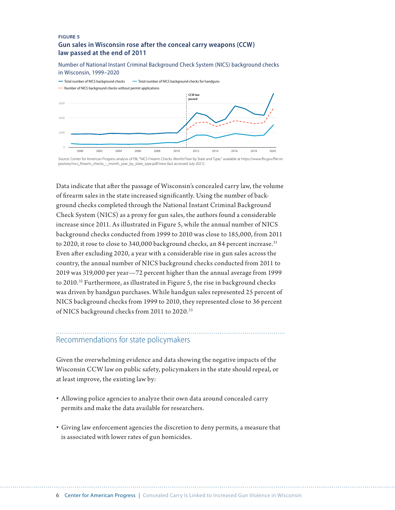#### **FIGURE 5 Gun sales in Wisconsin rose after the conceal carry weapons (CCW) law passed at the end of 2011**

Number of National Instant Criminal Background Check System (NICS) background checks in Wisconsin, 1999–2020



Source: Center for American Progress analysis of FBI, "NICS Firearm Checks: Month/Year by State and Type," available at https://www.fbi.gov/file-re pository/nics\_firearm\_checks\_-\_month\_year\_by\_state\_type.pdf/view (last accessed July 2021)

Data indicate that after the passage of Wisconsin's concealed carry law, the volume of firearm sales in the state increased significantly. Using the number of background checks completed through the National Instant Criminal Background Check System (NICS) as a proxy for gun sales, the authors found a considerable increase since 2011. As illustrated in Figure 5, while the annual number of NICS background checks conducted from 1999 to 2010 was close to 185,000, from 2011 to 2020, it rose to close to 340,000 background checks, an 84 percent increase.<sup>31</sup> Even after excluding 2020, a year with a considerable rise in gun sales across the country, the annual number of NICS background checks conducted from 2011 to 2019 was 319,000 per year—72 percent higher than the annual average from 1999 to 2010.32 Furthermore, as illustrated in Figure 5, the rise in background checks was driven by handgun purchases. While handgun sales represented 25 percent of NICS background checks from 1999 to 2010, they represented close to 36 percent of NICS background checks from 2011 to 2020.33

## Recommendations for state policymakers

Given the overwhelming evidence and data showing the negative impacts of the Wisconsin CCW law on public safety, policymakers in the state should repeal, or at least improve, the existing law by:

- Allowing police agencies to analyze their own data around concealed carry permits and make the data available for researchers.
- Giving law enforcement agencies the discretion to deny permits, a measure that is associated with lower rates of gun homicides.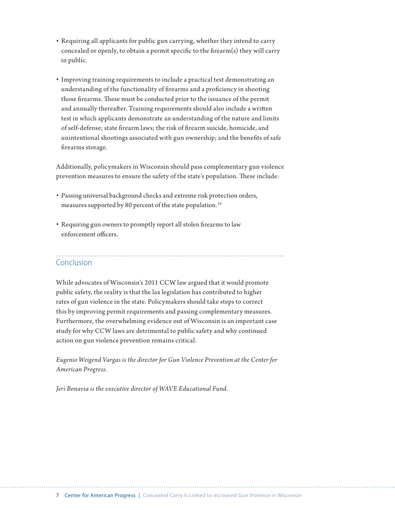- Requiring all applicants for public gun carrying, whether they intend to carry concealed or openly, to obtain a permit specific to the firearm(s) they will carry in public.
- Improving training requirements to include a practical test demonstrating an understanding of the functionality of firearms and a proficiency in shooting those firearms. These must be conducted prior to the issuance of the permit and annually thereafter. Training requirements should also include a written test in which applicants demonstrate an understanding of the nature and limits of self-defense; state firearm laws; the risk of firearm suicide, homicide, and unintentional shootings associated with gun ownership; and the benefits of safe firearms storage.

Additionally, policymakers in Wisconsin should pass complementary gun violence prevention measures to ensure the safety of the state's population. These include:

- Passing universal background checks and extreme risk protection orders, measures supported by 80 percent of the state population.<sup>34</sup>
- Requiring gun owners to promptly report all stolen firearms to law enforcement officers.

# Conclusion

While advocates of Wisconsin's 2011 CCW law argued that it would promote public safety, the reality is that the lax legislation has contributed to higher rates of gun violence in the state. Policymakers should take steps to correct this by improving permit requirements and passing complementary measures. Furthermore, the overwhelming evidence out of Wisconsin is an important case study for why CCW laws are detrimental to public safety and why continued action on gun violence prevention remains critical.

*Eugenio Weigend Vargas is the director for Gun Violence Prevention at the Center for American Progress.*

*Jeri Bonavia is the executive director of WAVE Educational Fund.*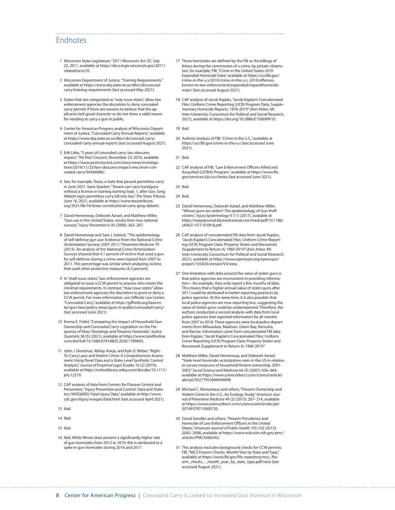### Endnotes

- 1 Wisconsin State Legislature, "2011 Wisconsin Act 35," July 22, 2011, available at [https://docs.legis.wisconsin.gov/2011/](https://docs.legis.wisconsin.gov/2011/related/acts/35) [related/acts/35](https://docs.legis.wisconsin.gov/2011/related/acts/35).
- 2 Wisconsin Department of Justice, "Training Requirements," available at [https://www.doj.state.wi.us/dles/cib/conceal](https://www.doj.state.wi.us/dles/cib/conceal-carry/training-requirements)[carry/training-requirements](https://www.doj.state.wi.us/dles/cib/conceal-carry/training-requirements) (last accessed May 2021).
- 3 States that are categorized as "may-issue states" allow law enforcement agencies the discretion to deny concealed carry permits if there are reasons to believe that the applicants lack good character or do not show a valid reason for needing to carry a gun in public.
- 4 Center for American Progress analysis of Wisconsin Department of Justice, "Concealed Carry Annual Reports," available at [https://www.doj.state.wi.us/dles/cib/conceal-carry/](https://www.doj.state.wi.us/dles/cib/conceal-carry/concealed-carry-annual-reports) [concealed-carry-annual-reports](https://www.doj.state.wi.us/dles/cib/conceal-carry/concealed-carry-annual-reports) (last accessed August 2021).
- 5 Erik Litke, "5 years of concealed carry: law obscures impact," *The Post-Crescent*, November 23, 2016, available at [https://www.postcrescent.com/story/news/investiga](https://www.postcrescent.com/story/news/investigations/2016/11/23/law-obscures-impact-wisconsin-concealed-carry/94344080/)[tions/2016/11/23/law-obscures-impact-wisconsin-con](https://www.postcrescent.com/story/news/investigations/2016/11/23/law-obscures-impact-wisconsin-concealed-carry/94344080/)[cealed-carry/94344080/](https://www.postcrescent.com/story/news/investigations/2016/11/23/law-obscures-impact-wisconsin-concealed-carry/94344080/).
- 6 See, for example, Texas, a state that passed permitless carry in June 2021. Sami Sparber, "Texans can carry handguns without a license or training starting Sept. 1, after Gov. Greg Abbott signs permitless carry bill into law," *The Texas Tribune*, June 16, 2021, available at [https://www.texastribune.](https://www.texastribune.org/2021/06/16/texas-constitutional-carry-greg-abbott/) [org/2021/06/16/texas-constitutional-carry-greg-abbott/](https://www.texastribune.org/2021/06/16/texas-constitutional-carry-greg-abbott/).
- 7 David Hemenway, Deborah Azrael, and Matthew Miller, "Gun use in the United States: results from two national surveys," *Injury Prevention* 6 (4) (2000): 263–267.
- 8 David Hemenway and Sara J. Solnick, "The epidemiology of self-defense gun use: Evidence from the National Crime Victimization Surveys 2007-2011," *Preventive Medicine* 79 (2015). An analysis of the National Crime Victimization Surveys showed that 4.1 percent of victims that used a gun for self-defense during a crime were injured from 2007 to 2011. This percentage was similar when analyzing victims that used other protective measures (4.2 percent).
- 9 In "shall-issue states," law enforcement agencies are obligated to issue a CCW permit to anyone who meets the minimal requirements. In contrast, "may-issue states" allow law enforcement agencies the discretion to grant or deny a CCW permit. For more information, see Giffords Law Center, "Concealed Carry," available at [https://giffords.org/lawcen](https://giffords.org/lawcenter/gun-laws/policy-areas/guns-in-public/concealed-carry/)[ter/gun-laws/policy-areas/guns-in-public/concealed-carry/](https://giffords.org/lawcenter/gun-laws/policy-areas/guns-in-public/concealed-carry/) (last accessed June 2021).
- 10 Emma E. Fridel, "Comparing the Impact of Household Gun Ownership and Concealed Carry Legislation on the Frequency of Mass Shootings and Firearms Homicide," *Justice Quarterly* 38 (5) (2021), available at [https://www.tandfonline.](https://www.tandfonline.com/doi/full/10.1080/07418825.2020.1789693) [com/doi/full/10.1080/07418825.2020.1789693.](https://www.tandfonline.com/doi/full/10.1080/07418825.2020.1789693)
- 11 John J. Donohue, Abhay Aneja, and Kyle D. Weber, "Right-To-Carry Laws and Violent Crime: A Comprehensive Assessment Using Panel Data and a State-Level Synthetic Control Analysis," *Journal of Empirical Legal Studies* 16 (2) (2019), available at [https://onlinelibrary.wiley.com/doi/abs/10.1111/](https://onlinelibrary.wiley.com/doi/abs/10.1111/jels.12219) [jels.12219](https://onlinelibrary.wiley.com/doi/abs/10.1111/jels.12219).
- 12 CAP analysis of data from Centers for Disease Control and Prevention, "Injury Prevention and Control: Data and Statistics (WISQARS): Fatal Injury Data," available at [http://www.](http://www.cdc.gov/injury/wisqars/fatal.html) [cdc.gov/injury/wisqars/fatal.html](http://www.cdc.gov/injury/wisqars/fatal.html) (last accessed April 2021).
- 13 Ibid.
- 14 Ibid.
- 15 Ibid.
- 16 Ibid. While Illinois does present a significantly higher rate of gun homicides from 2012 to 2019, this is attributed to a spike in gun homicides during 2016 and 2017.
- 17 These homicides are defined by the FBI as the killings of felons during the commission of a crime, by private citizens. See, for example, FBI, "Crime in the United States 2010 Expanded Homicide Data," available at [https://ucr.fbi.gov/](https://ucr.fbi.gov/crime-in-the-u.s/2010/crime-in-the-u.s.-2010/offenses-known-to-law-enforcement/expanded/expandhomicidemain/) [crime-in-the-u.s/2010/crime-in-the-u.s.-2010/offenses](https://ucr.fbi.gov/crime-in-the-u.s/2010/crime-in-the-u.s.-2010/offenses-known-to-law-enforcement/expanded/expandhomicidemain/)[known-to-law-enforcement/expanded/expandhomicide](https://ucr.fbi.gov/crime-in-the-u.s/2010/crime-in-the-u.s.-2010/offenses-known-to-law-enforcement/expanded/expandhomicidemain/)[main/](https://ucr.fbi.gov/crime-in-the-u.s/2010/crime-in-the-u.s.-2010/offenses-known-to-law-enforcement/expanded/expandhomicidemain/) (last accessed August 2021).
- 18 CAP analysis of Jacob Kaplan, "Jacob Kaplan's Concatenated Files: Uniform Crime Reporting (UCR) Program Data: Supplementary Homicide Reports, 1976-2019" (Ann Arbor, MI: Inter-University Consortium for Political and Social Research, 2021), available at <https://doi.org/10.3886/E100699V10>.
- 19 Ibid.

- 20 Authors' analysis of FBI, "Crime in the U.S.," available at <https://ucr.fbi.gov/crime-in-the-u.s> (last accessed June 2021).
- 21 Ibid.
- 22 CAP analysis of FBI, "Law Enforcement Officers Killed and Assaulted (LEOKA) Program," available at [https://www.fbi.](https://www.fbi.gov/services/cjis/ucr/leoka) [gov/services/cjis/ucr/leoka](https://www.fbi.gov/services/cjis/ucr/leoka) (last accessed June 2021).
- 23 Ibid.
- 24 Ibid.
- 25 David Hemenway, Deborah Azrael, and Matthew Miller, "Whose guns are stolen? The epidemiology of Gun theft victims," *Injury Epidemiology* 4 (11) (2017), available at [https://injepijournal.biomedcentral.com/track/pdf/10.1186/](https://injepijournal.biomedcentral.com/track/pdf/10.1186/s40621-017-0109-8.pdf) [s40621-017-0109-8.pdf.](https://injepijournal.biomedcentral.com/track/pdf/10.1186/s40621-017-0109-8.pdf)
- 26 CAP analysis of concatenated FBI data from Jacob Kaplan, ["Jacob Kaplan's Concatenated Files: Uniform Crime Report](https://www.openicpsr.org/openicpsr/project/105403/version/V3/view)[ing \(UCR\) Program Data: Property Stolen and Recovered](https://www.openicpsr.org/openicpsr/project/105403/version/V3/view)  [\(Supplement to Return A\) 1960-2019"](https://www.openicpsr.org/openicpsr/project/105403/version/V3/view) (Ann Arbor, MI: Inter-University Consortium for Political and Social Research, 2021), available at [https://www.openicpsr.org/openicpsr/](https://www.openicpsr.org/openicpsr/project/105403/version/V3/view) [project/105403/version/V3/view](https://www.openicpsr.org/openicpsr/project/105403/version/V3/view).
- 27 One limitation with data around the value of stolen guns is that police agencies are inconsistent in providing information—for example, they only report a few months of data. This means that a higher annual value of stolen guns after 2011 could be attributed to better reporting practices by police agencies. At the same time, it is also possible that local police agencies are now reporting less, suggesting the value of stolen guns could be underreported. Therefore, the authors conducted a second analysis with data from local police agencies that reported information for all months from 2007 to 2018. These agencies were local police departments from Milwaukee, Madison, Green Bay, Kenosha, and Racine. Information came from concatenated FBI data from Kaplan, ["Jacob Kaplan's Concatenated Files: Uniform](https://www.openicpsr.org/openicpsr/project/105403/version/V3/view)  [Crime Reporting \(UCR\) Program Data: Property Stolen and](https://www.openicpsr.org/openicpsr/project/105403/version/V3/view)  [Recovered \(Supplement to Return A\) 1960-2019](https://www.openicpsr.org/openicpsr/project/105403/version/V3/view)."
- 28 Matthew Miller, David Hemenway, and Deborah Azrael, "State-level homicide victimization rates in the US in relation to survey measures of household firearm ownership, 2001- 2003," *Social Science and Medicine* 64 (3) (2007): 656–664, available at [https://www.sciencedirect.com/science/article/](https://www.sciencedirect.com/science/article/abs/pii/S0277953606004898) [abs/pii/S0277953606004898.](https://www.sciencedirect.com/science/article/abs/pii/S0277953606004898)
- 29 Michael C. Monuteaux and others, "Firearm Ownership and Violent Crime in the U.S.: An Ecology Study," *American Journal of Preventive Medicine* 49 (2) (2015): 207–214, available at [https://www.sciencedirect.com/science/article/abs/pii/](https://www.sciencedirect.com/science/article/abs/pii/S0749379715000720) [S0749379715000720](https://www.sciencedirect.com/science/article/abs/pii/S0749379715000720).
- 30 David Swedler and others, "Firearm Prevalence and Homicide of Law Enforcement Officers in the United States," *American Journal of Public Health* 105 (10) (2015): 2042–2048, available at [https://www.ncbi.nlm.nih.gov/pmc/](https://www.ncbi.nlm.nih.gov/pmc/articles/PMC4566543/) [articles/PMC4566543/](https://www.ncbi.nlm.nih.gov/pmc/articles/PMC4566543/).
- 31 This analysis excludes background checks for CCW permits. FBI, "NICS Firearm Checks: Month/Year by State and Type," available at [https://www.fbi.gov/file-repository/nics\\_fire](https://www.fbi.gov/file-repository/nics_firearm_checks_-_month_year_by_state_type.pdf/view)[arm\\_checks\\_-\\_month\\_year\\_by\\_state\\_type.pdf/view](https://www.fbi.gov/file-repository/nics_firearm_checks_-_month_year_by_state_type.pdf/view) (last accessed August 2021).